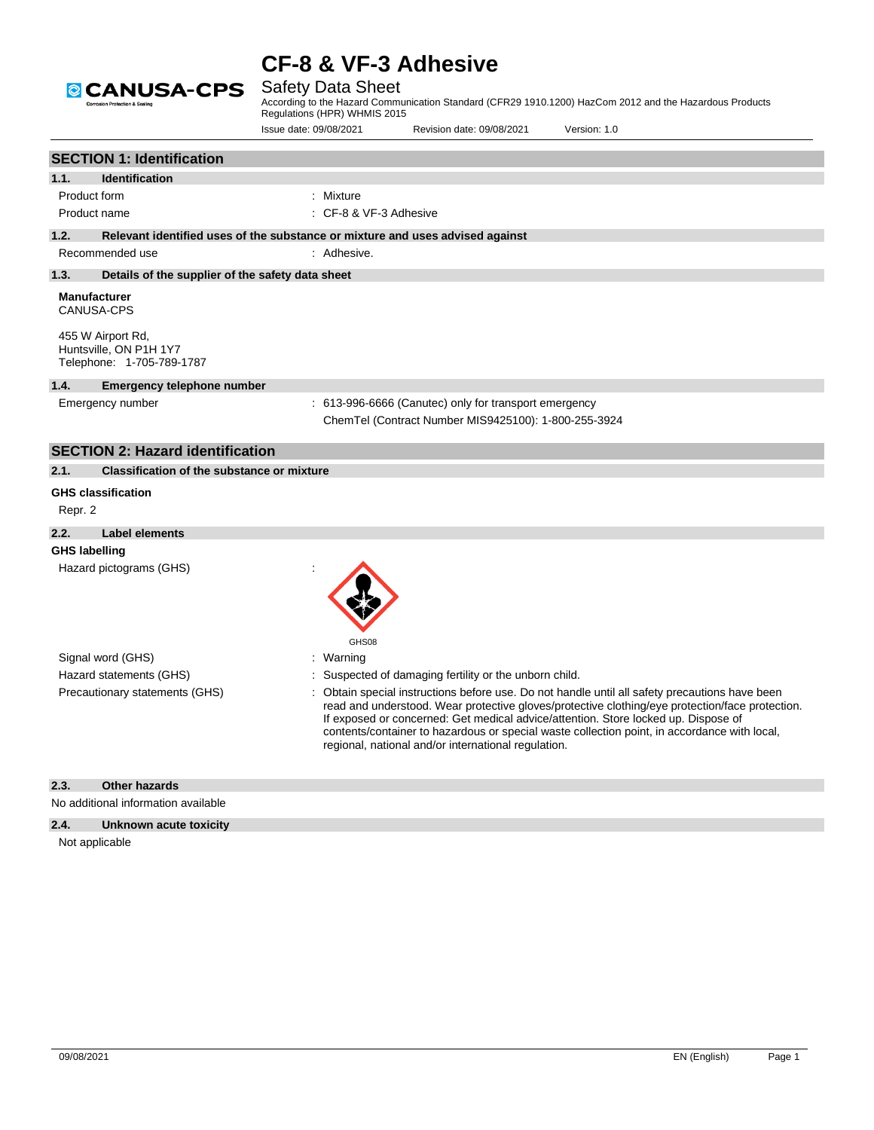

## Safety Data Sheet

According to the Hazard Communication Standard (CFR29 1910.1200) HazCom 2012 and the Hazardous Products Regulations (HPR) WHMIS 2015

Issue date: 09/08/2021 Revision date: 09/08/2021 Version: 1.0

|                      | <b>SECTION 1: Identification</b>                                                                                     |                                                                                                                                                                                                                                                                                                                                                                                                                                              |
|----------------------|----------------------------------------------------------------------------------------------------------------------|----------------------------------------------------------------------------------------------------------------------------------------------------------------------------------------------------------------------------------------------------------------------------------------------------------------------------------------------------------------------------------------------------------------------------------------------|
| 1.1.                 | <b>Identification</b>                                                                                                |                                                                                                                                                                                                                                                                                                                                                                                                                                              |
| Product form         |                                                                                                                      | : Mixture                                                                                                                                                                                                                                                                                                                                                                                                                                    |
|                      | Product name                                                                                                         | : CF-8 & VF-3 Adhesive                                                                                                                                                                                                                                                                                                                                                                                                                       |
| 1.2.                 |                                                                                                                      | Relevant identified uses of the substance or mixture and uses advised against                                                                                                                                                                                                                                                                                                                                                                |
|                      | Recommended use                                                                                                      | : Adhesive.                                                                                                                                                                                                                                                                                                                                                                                                                                  |
| 1.3.                 | Details of the supplier of the safety data sheet                                                                     |                                                                                                                                                                                                                                                                                                                                                                                                                                              |
|                      | <b>Manufacturer</b><br><b>CANUSA-CPS</b><br>455 W Airport Rd,<br>Huntsville, ON P1H 1Y7<br>Telephone: 1-705-789-1787 |                                                                                                                                                                                                                                                                                                                                                                                                                                              |
| 1.4.                 | <b>Emergency telephone number</b>                                                                                    |                                                                                                                                                                                                                                                                                                                                                                                                                                              |
|                      | Emergency number                                                                                                     | : 613-996-6666 (Canutec) only for transport emergency<br>ChemTel (Contract Number MIS9425100): 1-800-255-3924                                                                                                                                                                                                                                                                                                                                |
|                      | <b>SECTION 2: Hazard identification</b>                                                                              |                                                                                                                                                                                                                                                                                                                                                                                                                                              |
| 2.1.                 | <b>Classification of the substance or mixture</b>                                                                    |                                                                                                                                                                                                                                                                                                                                                                                                                                              |
| Repr. 2              | <b>GHS classification</b>                                                                                            |                                                                                                                                                                                                                                                                                                                                                                                                                                              |
| 2.2.                 | <b>Label elements</b>                                                                                                |                                                                                                                                                                                                                                                                                                                                                                                                                                              |
| <b>GHS labelling</b> | Hazard pictograms (GHS)                                                                                              | GHS08                                                                                                                                                                                                                                                                                                                                                                                                                                        |
|                      | Signal word (GHS)                                                                                                    | : Warning                                                                                                                                                                                                                                                                                                                                                                                                                                    |
|                      | Hazard statements (GHS)                                                                                              | Suspected of damaging fertility or the unborn child.                                                                                                                                                                                                                                                                                                                                                                                         |
|                      | Precautionary statements (GHS)                                                                                       | Obtain special instructions before use. Do not handle until all safety precautions have been<br>read and understood. Wear protective gloves/protective clothing/eye protection/face protection.<br>If exposed or concerned: Get medical advice/attention. Store locked up. Dispose of<br>contents/container to hazardous or special waste collection point, in accordance with local,<br>regional, national and/or international regulation. |
| 2.3.                 | <b>Other hazards</b>                                                                                                 |                                                                                                                                                                                                                                                                                                                                                                                                                                              |
|                      | No additional information available                                                                                  |                                                                                                                                                                                                                                                                                                                                                                                                                                              |
| 2.4.                 | Unknown acute toxicity                                                                                               |                                                                                                                                                                                                                                                                                                                                                                                                                                              |
|                      | Not applicable                                                                                                       |                                                                                                                                                                                                                                                                                                                                                                                                                                              |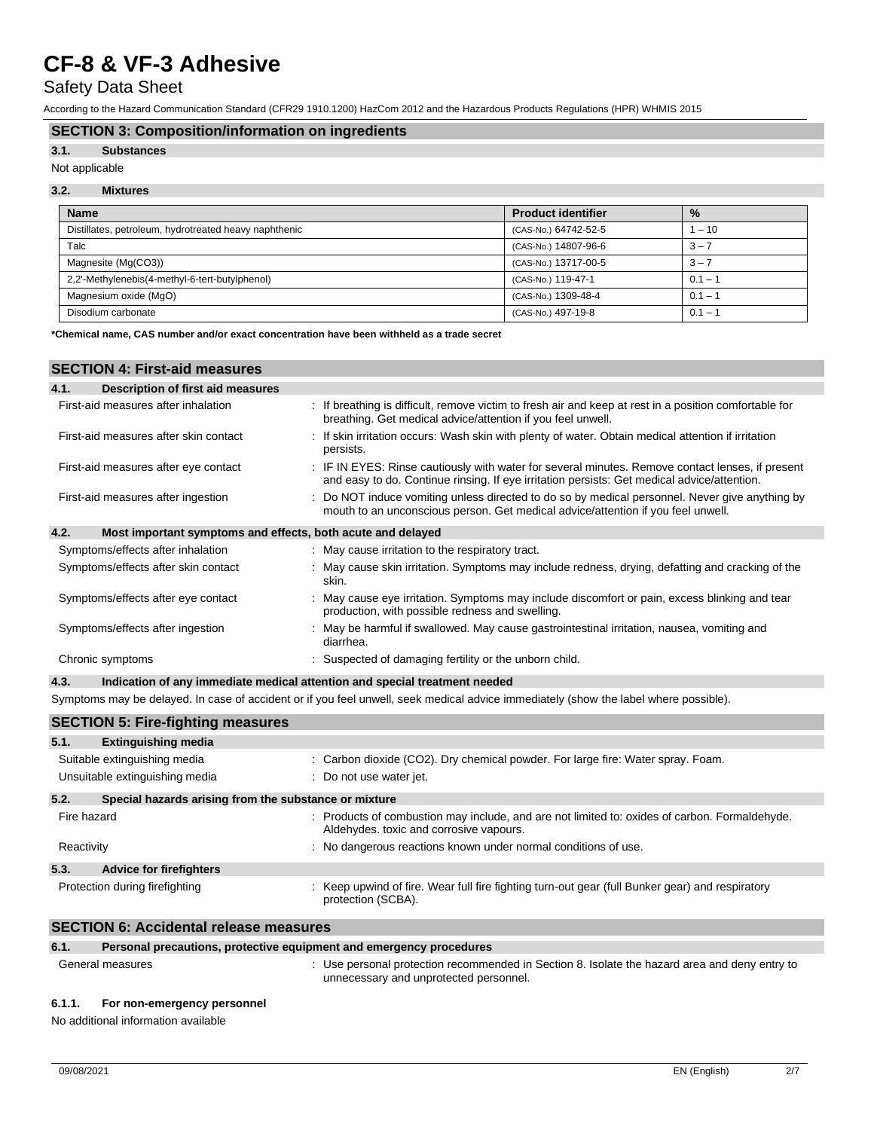## Safety Data Sheet

According to the Hazard Communication Standard (CFR29 1910.1200) HazCom 2012 and the Hazardous Products Regulations (HPR) WHMIS 2015

### **SECTION 3: Composition/information on ingredients**

#### **3.1. Substances**

### Not applicable

## **3.2. Mixtures**

| <b>Name</b>                                           | <b>Product identifier</b> | $\frac{9}{6}$ |
|-------------------------------------------------------|---------------------------|---------------|
| Distillates, petroleum, hydrotreated heavy naphthenic | (CAS-No.) 64742-52-5      | $1 - 10$      |
| Talc                                                  | (CAS-No.) 14807-96-6      | $3 - 7$       |
| Magnesite (Mg(CO3))                                   | (CAS-No.) 13717-00-5      | $3 - 7$       |
| 2.2'-Methylenebis(4-methyl-6-tert-butylphenol)        | (CAS-No.) 119-47-1        | $0.1 - ?$     |
| Magnesium oxide (MgO)                                 | (CAS-No.) 1309-48-4       | $0.1 - ?$     |
| Disodium carbonate                                    | (CAS-No.) 497-19-8        | $0.1 - ?$     |

**\*Chemical name, CAS number and/or exact concentration have been withheld as a trade secret**

### **SECTION 4: First-aid measures**

| 4.1.<br>Description of first aid measures                           |                                                                                                                                                                                                 |
|---------------------------------------------------------------------|-------------------------------------------------------------------------------------------------------------------------------------------------------------------------------------------------|
| First-aid measures after inhalation                                 | : If breathing is difficult, remove victim to fresh air and keep at rest in a position comfortable for<br>breathing. Get medical advice/attention if you feel unwell.                           |
| First-aid measures after skin contact                               | If skin irritation occurs: Wash skin with plenty of water. Obtain medical attention if irritation<br>persists.                                                                                  |
| First-aid measures after eye contact                                | : IF IN EYES: Rinse cautiously with water for several minutes. Remove contact lenses, if present<br>and easy to do. Continue rinsing. If eye irritation persists: Get medical advice/attention. |
| First-aid measures after ingestion                                  | : Do NOT induce vomiting unless directed to do so by medical personnel. Never give anything by<br>mouth to an unconscious person. Get medical advice/attention if you feel unwell.              |
| 4.2.<br>Most important symptoms and effects, both acute and delayed |                                                                                                                                                                                                 |
| Symptoms/effects after inhalation                                   | : May cause irritation to the respiratory tract.                                                                                                                                                |
| Symptoms/effects after skin contact                                 | : May cause skin irritation. Symptoms may include redness, drying, defatting and cracking of the<br>skin.                                                                                       |
| Symptoms/effects after eye contact                                  | : May cause eye irritation. Symptoms may include discomfort or pain, excess blinking and tear<br>production, with possible redness and swelling.                                                |
| Symptoms/effects after ingestion                                    | : May be harmful if swallowed. May cause gastrointestinal irritation, nausea, vomiting and<br>diarrhea.                                                                                         |
| Chronic symptoms                                                    | Suspected of damaging fertility or the unborn child.                                                                                                                                            |
| 4.3.                                                                | Indication of any immediate medical attention and special treatment needed                                                                                                                      |
|                                                                     |                                                                                                                                                                                                 |

Symptoms may be delayed. In case of accident or if you feel unwell, seek medical advice immediately (show the label where possible).

|             | <b>SECTION 5: Fire-fighting measures</b>                       |                                                                                                                                        |  |  |
|-------------|----------------------------------------------------------------|----------------------------------------------------------------------------------------------------------------------------------------|--|--|
| 5.1.        | <b>Extinguishing media</b>                                     |                                                                                                                                        |  |  |
|             | Suitable extinguishing media<br>Unsuitable extinguishing media | : Carbon dioxide (CO2). Dry chemical powder. For large fire: Water spray. Foam.<br>: Do not use water jet.                             |  |  |
| 5.2.        | Special hazards arising from the substance or mixture          |                                                                                                                                        |  |  |
| Fire hazard |                                                                | Products of combustion may include, and are not limited to: oxides of carbon. Formaldehyde.<br>Aldehydes, toxic and corrosive vapours. |  |  |
| Reactivity  |                                                                | : No dangerous reactions known under normal conditions of use.                                                                         |  |  |
| 5.3.        | <b>Advice for firefighters</b>                                 |                                                                                                                                        |  |  |
|             | Protection during firefighting                                 | : Keep upwind of fire. Wear full fire fighting turn-out gear (full Bunker gear) and respiratory<br>protection (SCBA).                  |  |  |

### **SECTION 6: Accidental release measures**

**6.1. Personal precautions, protective equipment and emergency procedures**

General measures **interpretatal measures** : Use personal protection recommended in Section 8. Isolate the hazard area and deny entry to unnecessary and unprotected personnel.

#### **6.1.1. For non-emergency personnel**

No additional information available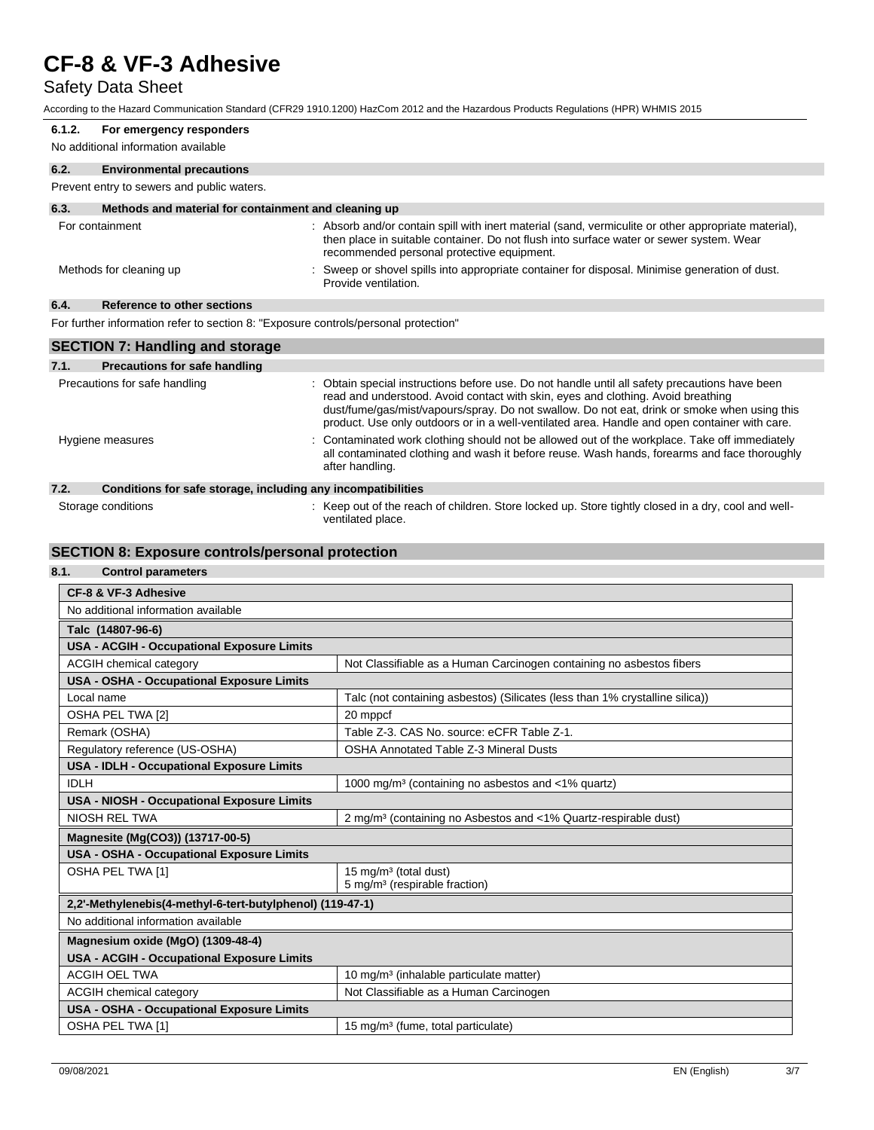## Safety Data Sheet

According to the Hazard Communication Standard (CFR29 1910.1200) HazCom 2012 and the Hazardous Products Regulations (HPR) WHMIS 2015

| 6.1.2.                                                                              | For emergency responders                                     |                                                                                                                                                                                                                                                                                                                                                                                     |  |  |
|-------------------------------------------------------------------------------------|--------------------------------------------------------------|-------------------------------------------------------------------------------------------------------------------------------------------------------------------------------------------------------------------------------------------------------------------------------------------------------------------------------------------------------------------------------------|--|--|
|                                                                                     | No additional information available                          |                                                                                                                                                                                                                                                                                                                                                                                     |  |  |
| 6.2.                                                                                | <b>Environmental precautions</b>                             |                                                                                                                                                                                                                                                                                                                                                                                     |  |  |
|                                                                                     | Prevent entry to sewers and public waters.                   |                                                                                                                                                                                                                                                                                                                                                                                     |  |  |
| 6.3.                                                                                | Methods and material for containment and cleaning up         |                                                                                                                                                                                                                                                                                                                                                                                     |  |  |
|                                                                                     | For containment                                              | : Absorb and/or contain spill with inert material (sand, vermiculite or other appropriate material),<br>then place in suitable container. Do not flush into surface water or sewer system. Wear<br>recommended personal protective equipment.                                                                                                                                       |  |  |
|                                                                                     | Methods for cleaning up                                      | : Sweep or shovel spills into appropriate container for disposal. Minimise generation of dust.<br>Provide ventilation.                                                                                                                                                                                                                                                              |  |  |
| 6.4.                                                                                | Reference to other sections                                  |                                                                                                                                                                                                                                                                                                                                                                                     |  |  |
| For further information refer to section 8: "Exposure controls/personal protection" |                                                              |                                                                                                                                                                                                                                                                                                                                                                                     |  |  |
| <b>SECTION 7: Handling and storage</b>                                              |                                                              |                                                                                                                                                                                                                                                                                                                                                                                     |  |  |
| 7.1.                                                                                | <b>Precautions for safe handling</b>                         |                                                                                                                                                                                                                                                                                                                                                                                     |  |  |
|                                                                                     | Precautions for safe handling                                | : Obtain special instructions before use. Do not handle until all safety precautions have been<br>read and understood. Avoid contact with skin, eyes and clothing. Avoid breathing<br>dust/fume/gas/mist/vapours/spray. Do not swallow. Do not eat, drink or smoke when using this<br>product. Use only outdoors or in a well-ventilated area. Handle and open container with care. |  |  |
|                                                                                     | Hygiene measures                                             | : Contaminated work clothing should not be allowed out of the workplace. Take off immediately<br>all contaminated clothing and wash it before reuse. Wash hands, forearms and face thoroughly<br>after handling.                                                                                                                                                                    |  |  |
| 7.2.                                                                                | Conditions for safe storage, including any incompatibilities |                                                                                                                                                                                                                                                                                                                                                                                     |  |  |

| 7.2. | Conditions for safe storage, including any incompatibilities |                                                                                                                          |  |
|------|--------------------------------------------------------------|--------------------------------------------------------------------------------------------------------------------------|--|
|      | Storage conditions                                           | : Keep out of the reach of children. Store locked up. Store tightly closed in a dry, cool and well-<br>ventilated place. |  |

## **SECTION 8: Exposure controls/personal protection**

## **8.1. Control parameters**

| <b>CF-8 &amp; VF-3 Adhesive</b>                           |                                                                              |  |
|-----------------------------------------------------------|------------------------------------------------------------------------------|--|
| No additional information available                       |                                                                              |  |
| Talc (14807-96-6)                                         |                                                                              |  |
| USA - ACGIH - Occupational Exposure Limits                |                                                                              |  |
| <b>ACGIH chemical category</b>                            | Not Classifiable as a Human Carcinogen containing no asbestos fibers         |  |
| USA - OSHA - Occupational Exposure Limits                 |                                                                              |  |
| Local name                                                | Talc (not containing asbestos) (Silicates (less than 1% crystalline silica)) |  |
| OSHA PEL TWA [2]                                          | 20 mppcf                                                                     |  |
| Remark (OSHA)                                             | Table Z-3. CAS No. source: eCFR Table Z-1.                                   |  |
| Regulatory reference (US-OSHA)                            | <b>OSHA Annotated Table Z-3 Mineral Dusts</b>                                |  |
| USA - IDLH - Occupational Exposure Limits                 |                                                                              |  |
| <b>IDLH</b>                                               | 1000 mg/m <sup>3</sup> (containing no asbestos and <1% quartz)               |  |
| <b>USA - NIOSH - Occupational Exposure Limits</b>         |                                                                              |  |
| <b>NIOSH REL TWA</b>                                      | 2 mg/m <sup>3</sup> (containing no Asbestos and <1% Quartz-respirable dust)  |  |
| Magnesite (Mg(CO3)) (13717-00-5)                          |                                                                              |  |
| <b>USA - OSHA - Occupational Exposure Limits</b>          |                                                                              |  |
| OSHA PEL TWA [1]                                          | 15 mg/m <sup>3</sup> (total dust)                                            |  |
|                                                           | 5 mg/m <sup>3</sup> (respirable fraction)                                    |  |
| 2,2'-Methylenebis(4-methyl-6-tert-butylphenol) (119-47-1) |                                                                              |  |
| No additional information available                       |                                                                              |  |
| Magnesium oxide (MgO) (1309-48-4)                         |                                                                              |  |
| USA - ACGIH - Occupational Exposure Limits                |                                                                              |  |
| <b>ACGIH OEL TWA</b>                                      | 10 mg/m <sup>3</sup> (inhalable particulate matter)                          |  |
| ACGIH chemical category                                   | Not Classifiable as a Human Carcinogen                                       |  |
| <b>USA - OSHA - Occupational Exposure Limits</b>          |                                                                              |  |
| OSHA PEL TWA [1]                                          | 15 mg/m <sup>3</sup> (fume, total particulate)                               |  |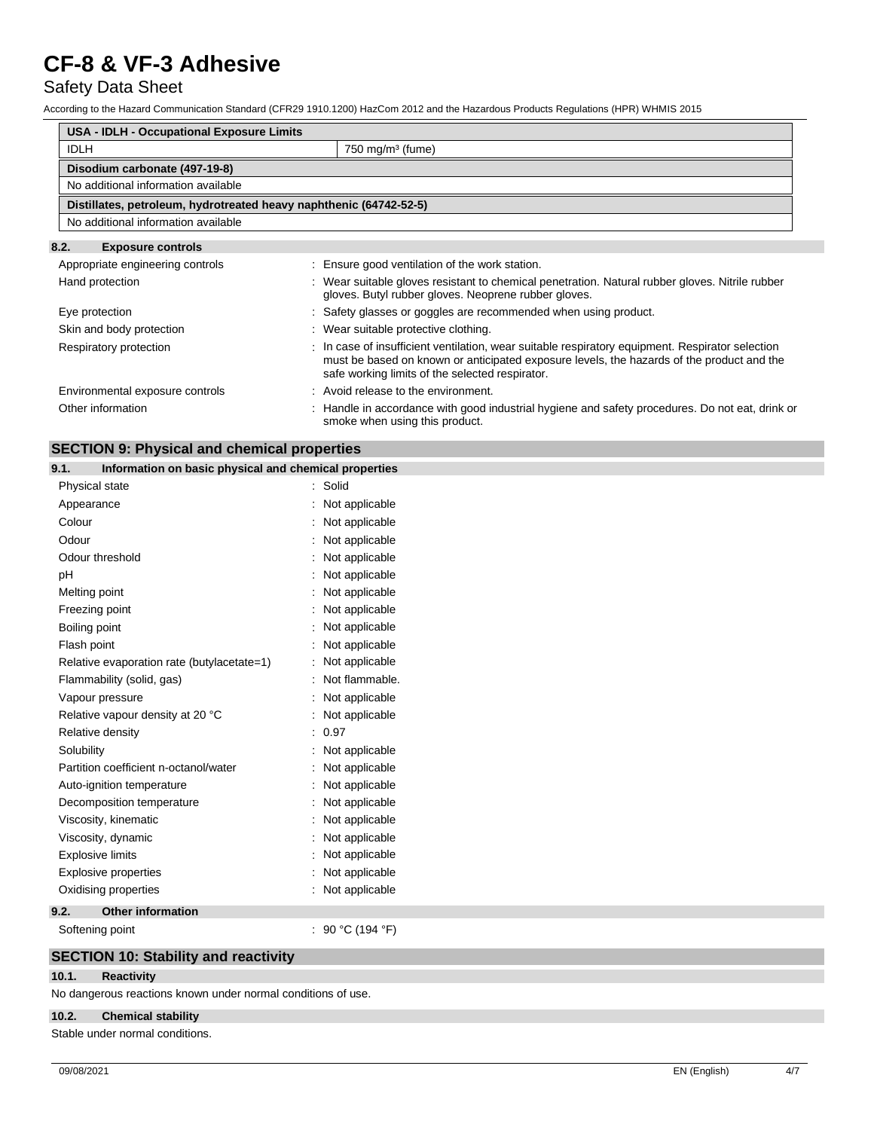## Safety Data Sheet

According to the Hazard Communication Standard (CFR29 1910.1200) HazCom 2012 and the Hazardous Products Regulations (HPR) WHMIS 2015

| <b>USA - IDLH - Occupational Exposure Limits</b> |                                                                                                                                                                                                                                                  |  |  |
|--------------------------------------------------|--------------------------------------------------------------------------------------------------------------------------------------------------------------------------------------------------------------------------------------------------|--|--|
| <b>IDLH</b>                                      | $750$ mg/m <sup>3</sup> (fume)                                                                                                                                                                                                                   |  |  |
| Disodium carbonate (497-19-8)                    |                                                                                                                                                                                                                                                  |  |  |
| No additional information available              |                                                                                                                                                                                                                                                  |  |  |
|                                                  | Distillates, petroleum, hydrotreated heavy naphthenic (64742-52-5)                                                                                                                                                                               |  |  |
| No additional information available              |                                                                                                                                                                                                                                                  |  |  |
| 8.2.<br><b>Exposure controls</b>                 |                                                                                                                                                                                                                                                  |  |  |
| Appropriate engineering controls                 | : Ensure good ventilation of the work station.                                                                                                                                                                                                   |  |  |
| Hand protection                                  | : Wear suitable gloves resistant to chemical penetration. Natural rubber gloves. Nitrile rubber<br>gloves. Butyl rubber gloves. Neoprene rubber gloves.                                                                                          |  |  |
| Eye protection                                   | : Safety glasses or goggles are recommended when using product.                                                                                                                                                                                  |  |  |
| Skin and body protection                         | : Wear suitable protective clothing.                                                                                                                                                                                                             |  |  |
| Respiratory protection                           | : In case of insufficient ventilation, wear suitable respiratory equipment. Respirator selection<br>must be based on known or anticipated exposure levels, the hazards of the product and the<br>safe working limits of the selected respirator. |  |  |
| Environmental exposure controls                  | : Avoid release to the environment.                                                                                                                                                                                                              |  |  |
| Other information                                | : Handle in accordance with good industrial hygiene and safety procedures. Do not eat, drink or<br>smoke when using this product.                                                                                                                |  |  |

## **SECTION 9: Physical and chemical properties**

### **9.1. Information on basic physical and chemical properties**

| Physical state                             | Solid<br>$\ddot{\phantom{a}}$ |
|--------------------------------------------|-------------------------------|
| Appearance                                 | Not applicable                |
| Colour                                     | Not applicable                |
| Odour                                      | Not applicable                |
| Odour threshold                            | Not applicable                |
| рH                                         | Not applicable                |
| Melting point                              | Not applicable                |
| Freezing point                             | Not applicable                |
| Boiling point                              | Not applicable                |
| Flash point                                | Not applicable                |
| Relative evaporation rate (butylacetate=1) | Not applicable                |
| Flammability (solid, gas)                  | Not flammable.                |
| Vapour pressure                            | Not applicable                |
| Relative vapour density at 20 °C           | Not applicable                |
| Relative density                           | 0.97<br>$\ddot{\phantom{a}}$  |
| Solubility                                 | Not applicable                |
| Partition coefficient n-octanol/water      | Not applicable                |
| Auto-ignition temperature                  | Not applicable                |
| Decomposition temperature                  | Not applicable                |
| Viscosity, kinematic                       | Not applicable                |
| Viscosity, dynamic                         | Not applicable                |
| <b>Explosive limits</b>                    | Not applicable                |
| <b>Explosive properties</b>                | Not applicable                |
| Oxidising properties                       | Not applicable                |
| <b>Other information</b><br>9.2.           |                               |
| Softening point                            | 90 °C (194 °F)                |

## **SECTION 10: Stability and reactivity**

#### **10.1. Reactivity**

No dangerous reactions known under normal conditions of use.

### **10.2. Chemical stability**

Stable under normal conditions.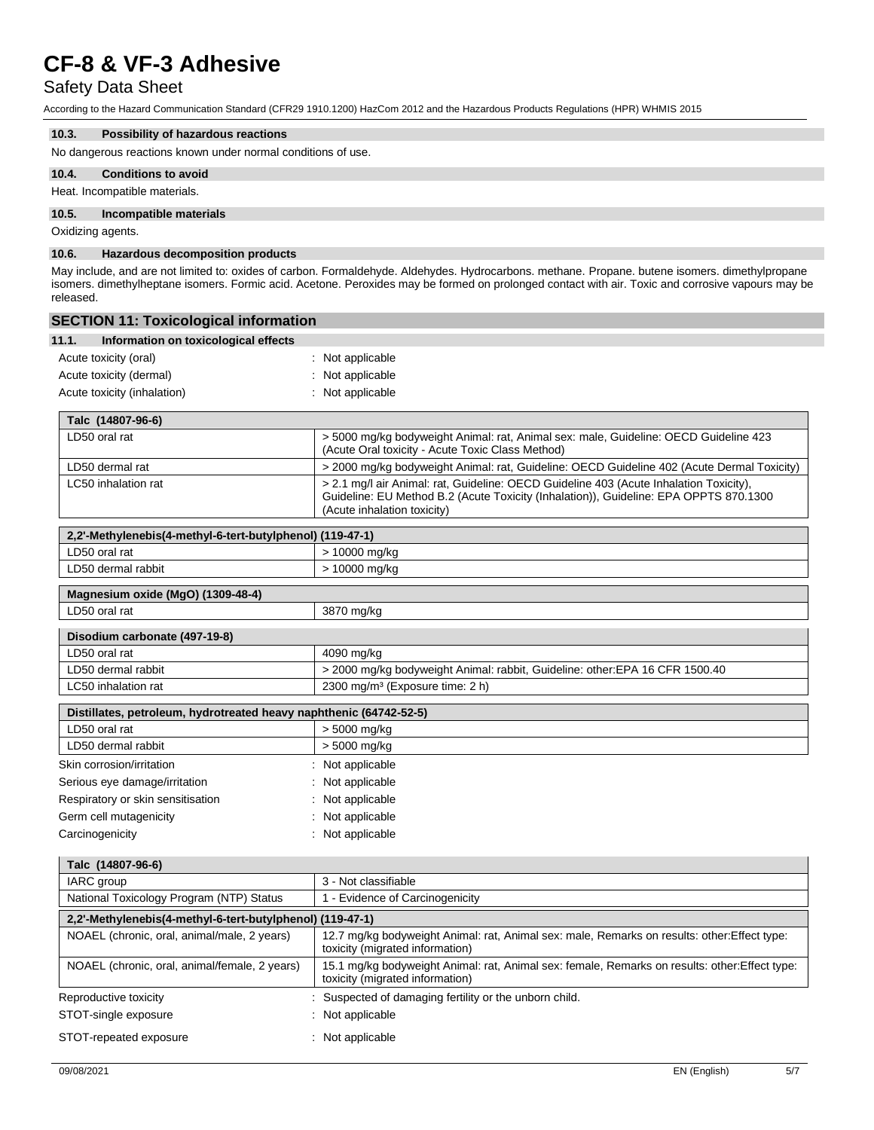## Safety Data Sheet

According to the Hazard Communication Standard (CFR29 1910.1200) HazCom 2012 and the Hazardous Products Regulations (HPR) WHMIS 2015

### **10.3. Possibility of hazardous reactions**

No dangerous reactions known under normal conditions of use.

#### **10.4. Conditions to avoid**

Heat. Incompatible materials.

#### **10.5. Incompatible materials**

Oxidizing agents.

#### **10.6. Hazardous decomposition products**

May include, and are not limited to: oxides of carbon. Formaldehyde. Aldehydes. Hydrocarbons. methane. Propane. butene isomers. dimethylpropane isomers. dimethylheptane isomers. Formic acid. Acetone. Peroxides may be formed on prolonged contact with air. Toxic and corrosive vapours may be released.

| <b>SECTION 11: Toxicological information</b>                       |                                                                                                                                                                                                                |
|--------------------------------------------------------------------|----------------------------------------------------------------------------------------------------------------------------------------------------------------------------------------------------------------|
| 11.1.<br>Information on toxicological effects                      |                                                                                                                                                                                                                |
| Acute toxicity (oral)                                              | : Not applicable                                                                                                                                                                                               |
| Acute toxicity (dermal)                                            | : Not applicable                                                                                                                                                                                               |
| Acute toxicity (inhalation)                                        | : Not applicable                                                                                                                                                                                               |
| Talc (14807-96-6)                                                  |                                                                                                                                                                                                                |
| LD50 oral rat                                                      | > 5000 mg/kg bodyweight Animal: rat, Animal sex: male, Guideline: OECD Guideline 423<br>(Acute Oral toxicity - Acute Toxic Class Method)                                                                       |
| LD50 dermal rat                                                    | > 2000 mg/kg bodyweight Animal: rat, Guideline: OECD Guideline 402 (Acute Dermal Toxicity)                                                                                                                     |
| LC50 inhalation rat                                                | > 2.1 mg/l air Animal: rat, Guideline: OECD Guideline 403 (Acute Inhalation Toxicity),<br>Guideline: EU Method B.2 (Acute Toxicity (Inhalation)), Guideline: EPA OPPTS 870.1300<br>(Acute inhalation toxicity) |
| 2,2'-Methylenebis(4-methyl-6-tert-butylphenol) (119-47-1)          |                                                                                                                                                                                                                |
| LD50 oral rat                                                      | > 10000 mg/kg                                                                                                                                                                                                  |
| LD50 dermal rabbit                                                 | > 10000 mg/kg                                                                                                                                                                                                  |
| Magnesium oxide (MgO) (1309-48-4)                                  |                                                                                                                                                                                                                |
| LD50 oral rat                                                      | 3870 mg/kg                                                                                                                                                                                                     |
| Disodium carbonate (497-19-8)                                      |                                                                                                                                                                                                                |
| LD50 oral rat                                                      | 4090 mg/kg                                                                                                                                                                                                     |
| LD50 dermal rabbit                                                 | > 2000 mg/kg bodyweight Animal: rabbit, Guideline: other: EPA 16 CFR 1500.40                                                                                                                                   |
| LC50 inhalation rat                                                | 2300 mg/m <sup>3</sup> (Exposure time: 2 h)                                                                                                                                                                    |
| Distillates, petroleum, hydrotreated heavy naphthenic (64742-52-5) |                                                                                                                                                                                                                |
| LD50 oral rat                                                      | > 5000 mg/kg                                                                                                                                                                                                   |
| LD50 dermal rabbit                                                 | > 5000 mg/kg                                                                                                                                                                                                   |
| Skin corrosion/irritation                                          | : Not applicable                                                                                                                                                                                               |
| Serious eye damage/irritation                                      | : Not applicable                                                                                                                                                                                               |
| Respiratory or skin sensitisation                                  | : Not applicable                                                                                                                                                                                               |
| Germ cell mutagenicity                                             | : Not applicable                                                                                                                                                                                               |
| Carcinogenicity                                                    | : Not applicable                                                                                                                                                                                               |
| Talc (14807-96-6)                                                  |                                                                                                                                                                                                                |
| IARC group                                                         | 3 - Not classifiable                                                                                                                                                                                           |
| National Toxicology Program (NTP) Status                           | 1 - Evidence of Carcinogenicity                                                                                                                                                                                |
| 2,2'-Methylenebis(4-methyl-6-tert-butylphenol) (119-47-1)          |                                                                                                                                                                                                                |
| NOAEL (chronic, oral, animal/male, 2 years)                        | 12.7 mg/kg bodyweight Animal: rat, Animal sex: male, Remarks on results: other:Effect type:<br>toxicity (migrated information)                                                                                 |
| NOAEL (chronic, oral, animal/female, 2 years)                      | 15.1 mg/kg bodyweight Animal: rat, Animal sex: female, Remarks on results: other: Effect type:<br>toxicity (migrated information)                                                                              |
| Reproductive toxicity                                              | : Suspected of damaging fertility or the unborn child.                                                                                                                                                         |
| STOT-single exposure                                               | : Not applicable                                                                                                                                                                                               |
| STOT-repeated exposure                                             | : Not applicable                                                                                                                                                                                               |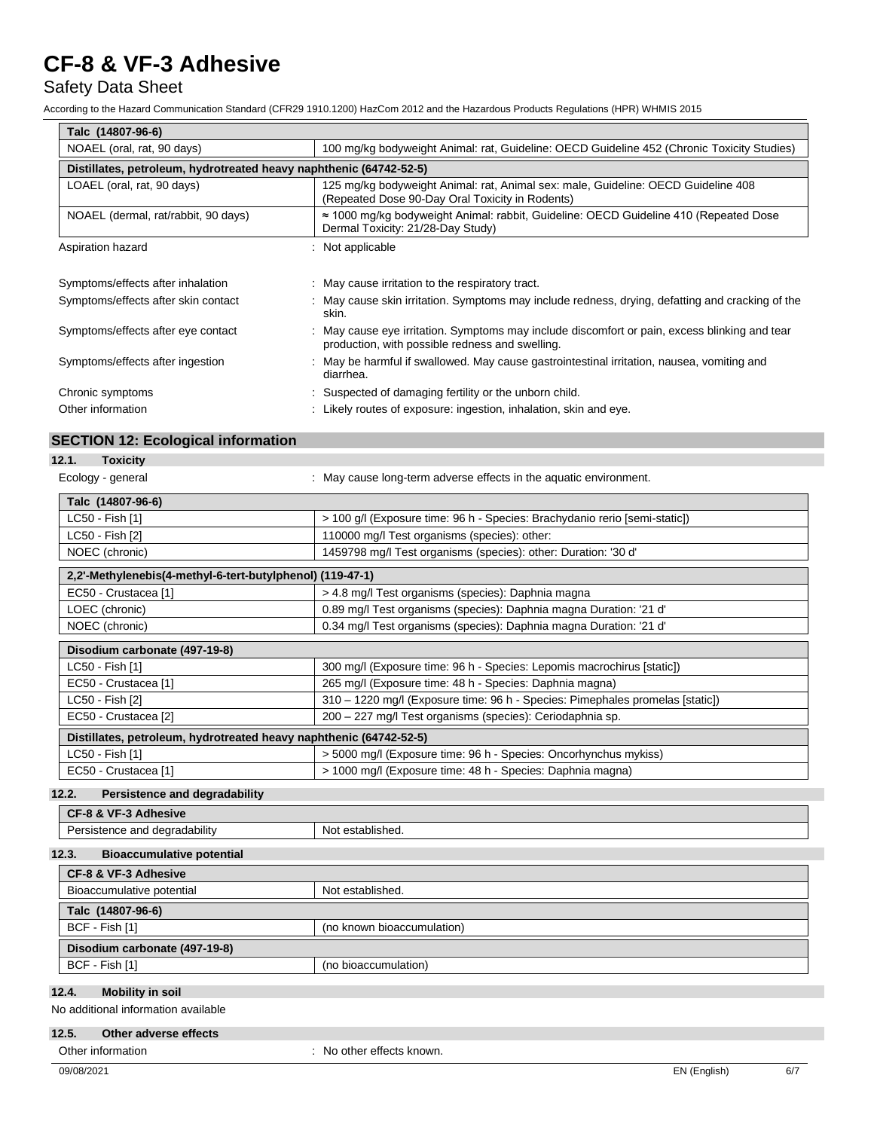## Safety Data Sheet

According to the Hazard Communication Standard (CFR29 1910.1200) HazCom 2012 and the Hazardous Products Regulations (HPR) WHMIS 2015

| Talc (14807-96-6)                                                  |                                                                                                                                                  |  |  |
|--------------------------------------------------------------------|--------------------------------------------------------------------------------------------------------------------------------------------------|--|--|
| NOAEL (oral, rat, 90 days)                                         | 100 mg/kg bodyweight Animal: rat, Guideline: OECD Guideline 452 (Chronic Toxicity Studies)                                                       |  |  |
| Distillates, petroleum, hydrotreated heavy naphthenic (64742-52-5) |                                                                                                                                                  |  |  |
| LOAEL (oral, rat, 90 days)                                         | 125 mg/kg bodyweight Animal: rat, Animal sex: male, Guideline: OECD Guideline 408<br>(Repeated Dose 90-Day Oral Toxicity in Rodents)             |  |  |
| NOAEL (dermal, rat/rabbit, 90 days)                                | $\approx$ 1000 mg/kg bodyweight Animal: rabbit, Guideline: OECD Guideline 410 (Repeated Dose<br>Dermal Toxicity: 21/28-Day Study)                |  |  |
| Aspiration hazard                                                  | : Not applicable                                                                                                                                 |  |  |
|                                                                    |                                                                                                                                                  |  |  |
| Symptoms/effects after inhalation                                  | : May cause irritation to the respiratory tract.                                                                                                 |  |  |
| Symptoms/effects after skin contact                                | : May cause skin irritation. Symptoms may include redness, drying, defatting and cracking of the<br>skin.                                        |  |  |
| Symptoms/effects after eye contact                                 | : May cause eye irritation. Symptoms may include discomfort or pain, excess blinking and tear<br>production, with possible redness and swelling. |  |  |
| Symptoms/effects after ingestion                                   | : May be harmful if swallowed. May cause gastrointestinal irritation, nausea, vomiting and<br>diarrhea.                                          |  |  |
| Chronic symptoms                                                   | : Suspected of damaging fertility or the unborn child.                                                                                           |  |  |
| Other information                                                  | : Likely routes of exposure: ingestion, inhalation, skin and eye.                                                                                |  |  |

## **SECTION 12: Ecological information**

| 12.1.<br><b>Toxicity</b>                                           |                                                                               |  |
|--------------------------------------------------------------------|-------------------------------------------------------------------------------|--|
| Ecology - general                                                  | : May cause long-term adverse effects in the aquatic environment.             |  |
| Talc (14807-96-6)                                                  |                                                                               |  |
| LC50 - Fish [1]                                                    | > 100 g/l (Exposure time: 96 h - Species: Brachydanio rerio [semi-static])    |  |
| LC50 - Fish [2]                                                    | 110000 mg/l Test organisms (species): other:                                  |  |
| NOEC (chronic)                                                     | 1459798 mg/l Test organisms (species): other: Duration: '30 d'                |  |
| 2,2'-Methylenebis(4-methyl-6-tert-butylphenol) (119-47-1)          |                                                                               |  |
| EC50 - Crustacea [1]                                               | > 4.8 mg/l Test organisms (species): Daphnia magna                            |  |
| LOEC (chronic)                                                     | 0.89 mg/l Test organisms (species): Daphnia magna Duration: '21 d'            |  |
| NOEC (chronic)                                                     | 0.34 mg/l Test organisms (species): Daphnia magna Duration: '21 d'            |  |
| Disodium carbonate (497-19-8)                                      |                                                                               |  |
| LC50 - Fish [1]                                                    | 300 mg/l (Exposure time: 96 h - Species: Lepomis macrochirus [static])        |  |
| EC50 - Crustacea [1]                                               | 265 mg/l (Exposure time: 48 h - Species: Daphnia magna)                       |  |
| LC50 - Fish [2]                                                    | 310 - 1220 mg/l (Exposure time: 96 h - Species: Pimephales promelas [static]) |  |
| EC50 - Crustacea [2]                                               | 200 - 227 mg/l Test organisms (species): Ceriodaphnia sp.                     |  |
| Distillates, petroleum, hydrotreated heavy naphthenic (64742-52-5) |                                                                               |  |
| LC50 - Fish [1]                                                    | > 5000 mg/l (Exposure time: 96 h - Species: Oncorhynchus mykiss)              |  |
| EC50 - Crustacea [1]                                               | > 1000 mg/l (Exposure time: 48 h - Species: Daphnia magna)                    |  |

## **12.2. Persistence and degradability**

| CF-8 & VF-3 Adhesive          |                     |  |
|-------------------------------|---------------------|--|
| <br>istence and degradability | established.<br>Not |  |
|                               |                     |  |

## **12.3. Bioaccumulative potential**

| CF-8 & VF-3 Adhesive          |                            |  |  |  |
|-------------------------------|----------------------------|--|--|--|
| Bioaccumulative potential     | Not established.           |  |  |  |
| Talc (14807-96-6)             |                            |  |  |  |
| BCF - Fish [1]                | (no known bioaccumulation) |  |  |  |
| Disodium carbonate (497-19-8) |                            |  |  |  |
| BCF - Fish [1]                | (no bioaccumulation)       |  |  |  |

## **12.4. Mobility in soil**

No additional information available

## **12.5. Other adverse effects**

Other information  $\qquad \qquad$ : No other effects known.